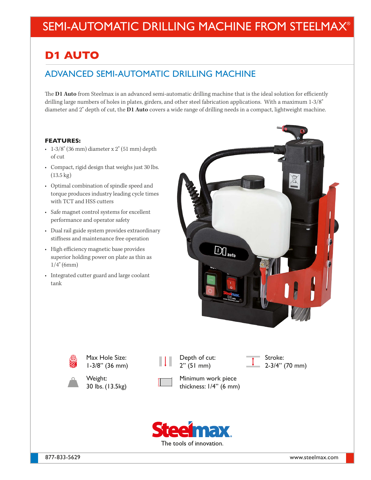# SEMI-AUTOMATIC DRILLING MACHINE FROM STEELMAX®

## **D**1 **AUTO**

### ADVANCED SEMI-AUTOMATIC DRILLING MACHINE

The **D1 Auto** from Steelmax is an advanced semi-automatic drilling machine that is the ideal solution for efficiently drilling large numbers of holes in plates, girders, and other steel fabrication applications. With a maximum 1-3/8" diameter and 2" depth of cut, the **D1 Auto** covers a wide range of drilling needs in a compact, lightweight machine.

#### **FEATURES:**

- $\cdot$  1-3/8" (36 mm) diameter x 2" (51 mm) depth of cut
- Compact, rigid design that weighs just 30 lbs. (13.5 kg)
- Optimal combination of spindle speed and torque produces industry leading cycle times with TCT and HSS cutters
- Safe magnet control systems for excellent performance and operator safety
- Dual rail guide system provides extraordinary stiffness and maintenance free operation
- High efficiency magnetic base provides superior holding power on plate as thin as 1/4" (6mm)
- Integrated cutter guard and large coolant tank





Max Hole Size: 1-3/8" (36 mm)



Depth of cut: 2" (51 mm)

Stroke: 2-3/4" (70 mm)